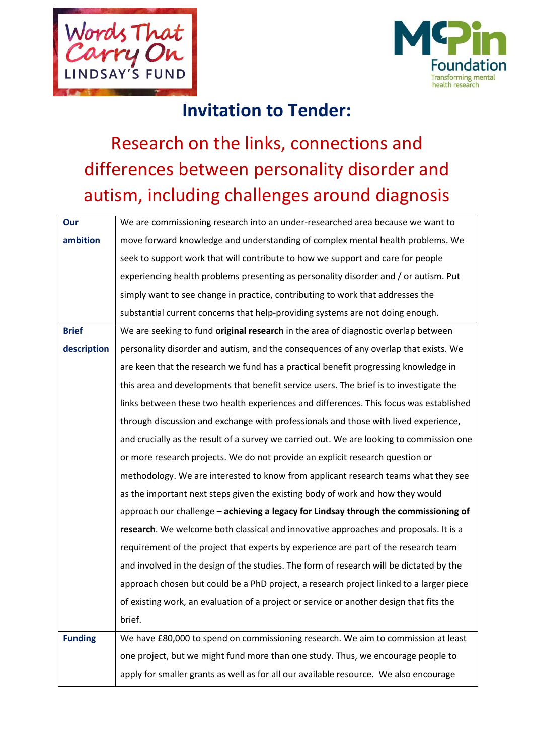



## **Invitation to Tender:**

# Research on the links, connections and differences between personality disorder and autism, including challenges around diagnosis

| Our            | We are commissioning research into an under-researched area because we want to           |
|----------------|------------------------------------------------------------------------------------------|
| ambition       | move forward knowledge and understanding of complex mental health problems. We           |
|                | seek to support work that will contribute to how we support and care for people          |
|                | experiencing health problems presenting as personality disorder and / or autism. Put     |
|                | simply want to see change in practice, contributing to work that addresses the           |
|                | substantial current concerns that help-providing systems are not doing enough.           |
| <b>Brief</b>   | We are seeking to fund original research in the area of diagnostic overlap between       |
| description    | personality disorder and autism, and the consequences of any overlap that exists. We     |
|                | are keen that the research we fund has a practical benefit progressing knowledge in      |
|                | this area and developments that benefit service users. The brief is to investigate the   |
|                | links between these two health experiences and differences. This focus was established   |
|                | through discussion and exchange with professionals and those with lived experience,      |
|                | and crucially as the result of a survey we carried out. We are looking to commission one |
|                | or more research projects. We do not provide an explicit research question or            |
|                | methodology. We are interested to know from applicant research teams what they see       |
|                | as the important next steps given the existing body of work and how they would           |
|                | approach our challenge - achieving a legacy for Lindsay through the commissioning of     |
|                | research. We welcome both classical and innovative approaches and proposals. It is a     |
|                | requirement of the project that experts by experience are part of the research team      |
|                | and involved in the design of the studies. The form of research will be dictated by the  |
|                | approach chosen but could be a PhD project, a research project linked to a larger piece  |
|                | of existing work, an evaluation of a project or service or another design that fits the  |
|                | brief.                                                                                   |
| <b>Funding</b> | We have £80,000 to spend on commissioning research. We aim to commission at least        |
|                | one project, but we might fund more than one study. Thus, we encourage people to         |
|                | apply for smaller grants as well as for all our available resource. We also encourage    |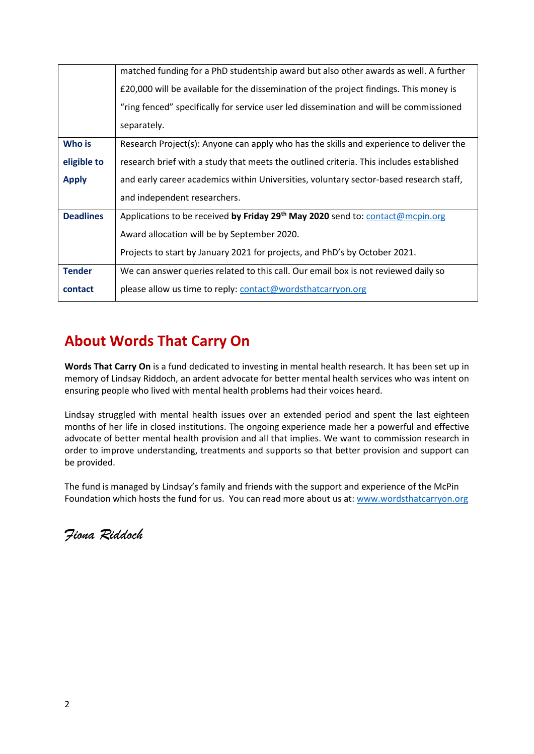|                  | matched funding for a PhD studentship award but also other awards as well. A further       |
|------------------|--------------------------------------------------------------------------------------------|
|                  | £20,000 will be available for the dissemination of the project findings. This money is     |
|                  | "ring fenced" specifically for service user led dissemination and will be commissioned     |
|                  | separately.                                                                                |
| Who is           | Research Project(s): Anyone can apply who has the skills and experience to deliver the     |
| eligible to      | research brief with a study that meets the outlined criteria. This includes established    |
| <b>Apply</b>     | and early career academics within Universities, voluntary sector-based research staff,     |
|                  | and independent researchers.                                                               |
| <b>Deadlines</b> | Applications to be received by Friday 29 <sup>th</sup> May 2020 send to: contact@mcpin.org |
|                  | Award allocation will be by September 2020.                                                |
|                  | Projects to start by January 2021 for projects, and PhD's by October 2021.                 |
| <b>Tender</b>    | We can answer queries related to this call. Our email box is not reviewed daily so         |
| contact          | please allow us time to reply: contact@wordsthatcarryon.org                                |

#### **About Words That Carry On**

**Words That Carry On** is a fund dedicated to investing in mental health research. It has been set up in memory of Lindsay Riddoch, an ardent advocate for better mental health services who was intent on ensuring people who lived with mental health problems had their voices heard.

Lindsay struggled with mental health issues over an extended period and spent the last eighteen months of her life in closed institutions. The ongoing experience made her a powerful and effective advocate of better mental health provision and all that implies. We want to commission research in order to improve understanding, treatments and supports so that better provision and support can be provided.

The fund is managed by Lindsay's family and friends with the support and experience of the McPin Foundation which hosts the fund for us. You can read more about us at[: www.wordsthatcarryon.org](http://www.wordsthatcarryon.org/)

*Fiona Riddoch*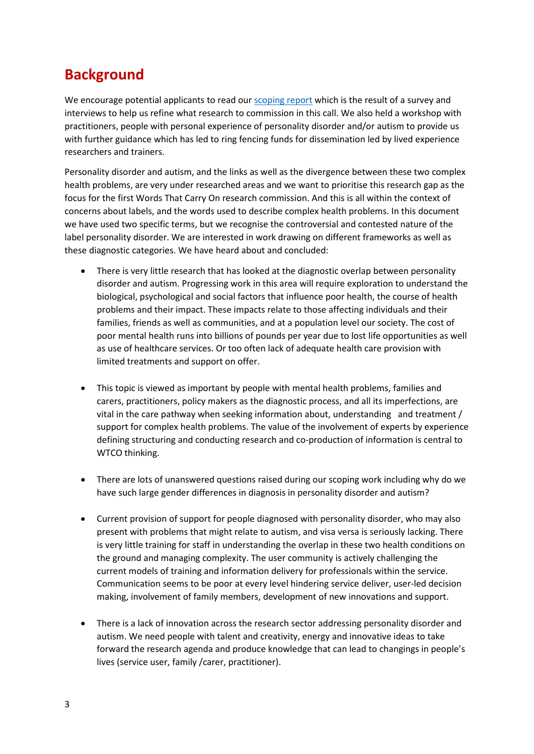#### **Background**

We encourage potential applicants to read our [scoping](https://lindsayriddoch.files.wordpress.com/2019/09/words-that-carry-on.pdf) report which is the result of a survey and interviews to help us refine what research to commission in this call. We also held a workshop with practitioners, people with personal experience of personality disorder and/or autism to provide us with further guidance which has led to ring fencing funds for dissemination led by lived experience researchers and trainers.

Personality disorder and autism, and the links as well as the divergence between these two complex health problems, are very under researched areas and we want to prioritise this research gap as the focus for the first Words That Carry On research commission. And this is all within the context of concerns about labels, and the words used to describe complex health problems. In this document we have used two specific terms, but we recognise the controversial and contested nature of the label personality disorder. We are interested in work drawing on different frameworks as well as these diagnostic categories. We have heard about and concluded:

- There is very little research that has looked at the diagnostic overlap between personality disorder and autism. Progressing work in this area will require exploration to understand the biological, psychological and social factors that influence poor health, the course of health problems and their impact. These impacts relate to those affecting individuals and their families, friends as well as communities, and at a population level our society. The cost of poor mental health runs into billions of pounds per year due to lost life opportunities as well as use of healthcare services. Or too often lack of adequate health care provision with limited treatments and support on offer.
- This topic is viewed as important by people with mental health problems, families and carers, practitioners, policy makers as the diagnostic process, and all its imperfections, are vital in the care pathway when seeking information about, understanding and treatment / support for complex health problems. The value of the involvement of experts by experience defining structuring and conducting research and co-production of information is central to WTCO thinking.
- There are lots of unanswered questions raised during our scoping work including why do we have such large gender differences in diagnosis in personality disorder and autism?
- Current provision of support for people diagnosed with personality disorder, who may also present with problems that might relate to autism, and visa versa is seriously lacking. There is very little training for staff in understanding the overlap in these two health conditions on the ground and managing complexity. The user community is actively challenging the current models of training and information delivery for professionals within the service. Communication seems to be poor at every level hindering service deliver, user-led decision making, involvement of family members, development of new innovations and support.
- There is a lack of innovation across the research sector addressing personality disorder and autism. We need people with talent and creativity, energy and innovative ideas to take forward the research agenda and produce knowledge that can lead to changings in people's lives (service user, family /carer, practitioner).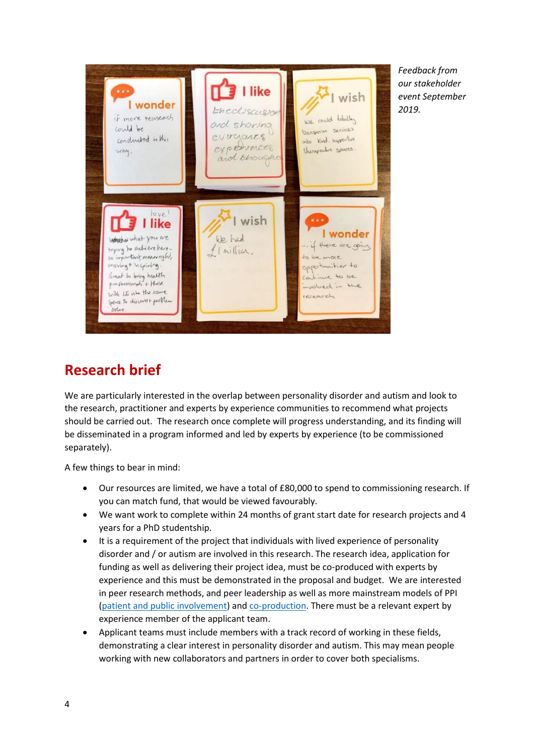

*Feedback from our stakeholder event September 2019.* 

#### **Research brief**

We are particularly interested in the overlap between personality disorder and autism and look to the research, practitioner and experts by experience communities to recommend what projects should be carried out. The research once complete will progress understanding, and its finding will be disseminated in a program informed and led by experts by experience (to be commissioned separately).

A few things to bear in mind:

- Our resources are limited, we have a total of £80,000 to spend to commissioning research. If you can match fund, that would be viewed favourably.
- We want work to complete within 24 months of grant start date for research projects and 4 years for a PhD studentship.
- It is a requirement of the project that individuals with lived experience of personality disorder and / or autism are involved in this research. The research idea, application for funding as well as delivering their project idea, must be co-produced with experts by experience and this must be demonstrated in the proposal and budget. We are interested in peer research methods, and peer leadership as well as more mainstream models of PPI [\(patient and public involvement\)](https://www.invo.org.uk/wp-content/uploads/2019/11/UK-standards-for-public-involvement-v6.pdf) and [co-production.](https://www.invo.org.uk/wp-content/uploads/2019/04/Copro_Guidance_Feb19.pdf) There must be a relevant expert by experience member of the applicant team.
- Applicant teams must include members with a track record of working in these fields, demonstrating a clear interest in personality disorder and autism. This may mean people working with new collaborators and partners in order to cover both specialisms.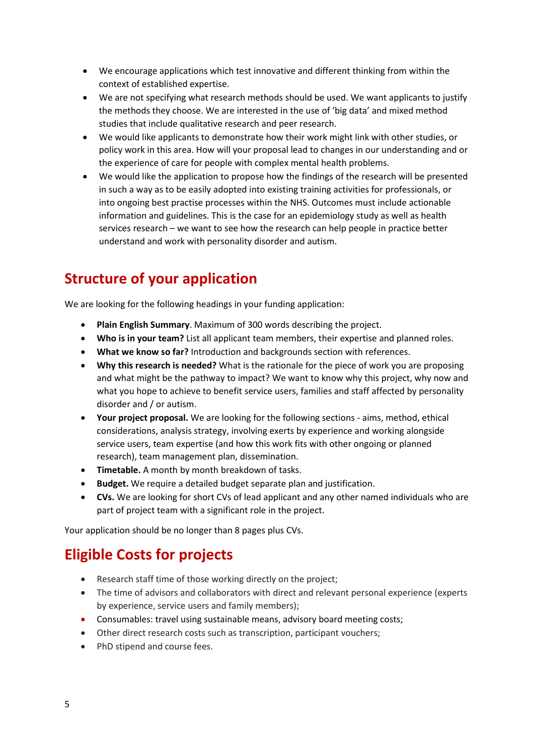- We encourage applications which test innovative and different thinking from within the context of established expertise.
- We are not specifying what research methods should be used. We want applicants to justify the methods they choose. We are interested in the use of 'big data' and mixed method studies that include qualitative research and peer research.
- We would like applicants to demonstrate how their work might link with other studies, or policy work in this area. How will your proposal lead to changes in our understanding and or the experience of care for people with complex mental health problems.
- We would like the application to propose how the findings of the research will be presented in such a way as to be easily adopted into existing training activities for professionals, or into ongoing best practise processes within the NHS. Outcomes must include actionable information and guidelines. This is the case for an epidemiology study as well as health services research – we want to see how the research can help people in practice better understand and work with personality disorder and autism.

### **Structure of your application**

We are looking for the following headings in your funding application:

- **Plain English Summary**. Maximum of 300 words describing the project.
- **Who is in your team?** List all applicant team members, their expertise and planned roles.
- **What we know so far?** Introduction and backgrounds section with references.
- **Why this research is needed?** What is the rationale for the piece of work you are proposing and what might be the pathway to impact? We want to know why this project, why now and what you hope to achieve to benefit service users, families and staff affected by personality disorder and / or autism.
- **Your project proposal.** We are looking for the following sections aims, method, ethical considerations, analysis strategy, involving exerts by experience and working alongside service users, team expertise (and how this work fits with other ongoing or planned research), team management plan, dissemination.
- **Timetable.** A month by month breakdown of tasks.
- **Budget.** We require a detailed budget separate plan and justification.
- **CVs.** We are looking for short CVs of lead applicant and any other named individuals who are part of project team with a significant role in the project.

Your application should be no longer than 8 pages plus CVs.

### **Eligible Costs for projects**

- Research staff time of those working directly on the project;
- The time of advisors and collaborators with direct and relevant personal experience (experts by experience, service users and family members);
- Consumables: travel using sustainable means, advisory board meeting costs;
- Other direct research costs such as transcription, participant vouchers;
- PhD stipend and course fees.